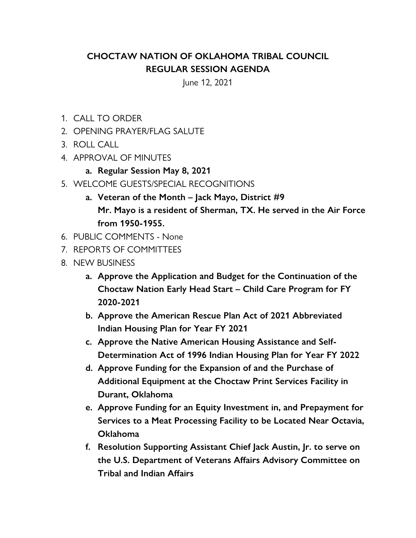## **CHOCTAW NATION OF OKLAHOMA TRIBAL COUNCIL REGULAR SESSION AGENDA**

June 12, 2021

- 1. CALL TO ORDER
- 2. OPENING PRAYER/FLAG SALUTE
- 3. ROLL CALL
- 4. APPROVAL OF MINUTES
	- **a. Regular Session May 8, 2021**
- 5. WELCOME GUESTS/SPECIAL RECOGNITIONS
	- **a. Veteran of the Month Jack Mayo, District #9 Mr. Mayo is a resident of Sherman, TX. He served in the Air Force from 1950-1955.**
- 6. PUBLIC COMMENTS None
- 7. REPORTS OF COMMITTEES
- 8. NEW BUSINESS
	- **a. Approve the Application and Budget for the Continuation of the Choctaw Nation Early Head Start – Child Care Program for FY 2020-2021**
	- **b. Approve the American Rescue Plan Act of 2021 Abbreviated Indian Housing Plan for Year FY 2021**
	- **c. Approve the Native American Housing Assistance and Self-Determination Act of 1996 Indian Housing Plan for Year FY 2022**
	- **d. Approve Funding for the Expansion of and the Purchase of Additional Equipment at the Choctaw Print Services Facility in Durant, Oklahoma**
	- **e. Approve Funding for an Equity Investment in, and Prepayment for Services to a Meat Processing Facility to be Located Near Octavia, Oklahoma**
	- **f. Resolution Supporting Assistant Chief Jack Austin, Jr. to serve on the U.S. Department of Veterans Affairs Advisory Committee on Tribal and Indian Affairs**